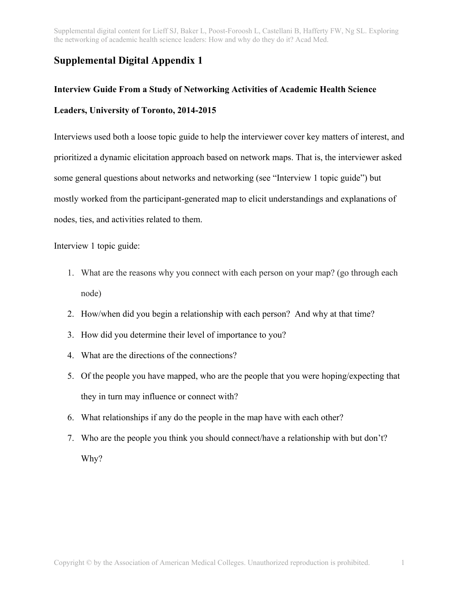Supplemental digital content for Lieff SJ, Baker L, Poost-Foroosh L, Castellani B, Hafferty FW, Ng SL. Exploring the networking of academic health science leaders: How and why do they do it? Acad Med.

## **Supplemental Digital Appendix 1**

## **Interview Guide From a Study of Networking Activities of Academic Health Science Leaders, University of Toronto, 2014-2015**

Interviews used both a loose topic guide to help the interviewer cover key matters of interest, and prioritized a dynamic elicitation approach based on network maps. That is, the interviewer asked some general questions about networks and networking (see "Interview 1 topic guide") but mostly worked from the participant-generated map to elicit understandings and explanations of nodes, ties, and activities related to them.

Interview 1 topic guide:

- 1. What are the reasons why you connect with each person on your map? (go through each node)
- 2. How/when did you begin a relationship with each person? And why at that time?
- 3. How did you determine their level of importance to you?
- 4. What are the directions of the connections?
- 5. Of the people you have mapped, who are the people that you were hoping/expecting that they in turn may influence or connect with?
- 6. What relationships if any do the people in the map have with each other?
- 7. Who are the people you think you should connect/have a relationship with but don't? Why?